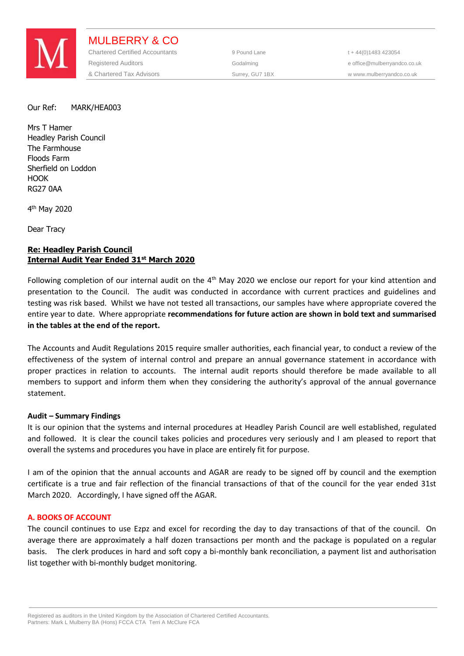

MULBERRY & CO Chartered Certified Accountants 9 Pound Lane t + 44(0)1483 423054 Registered Auditors **Construction Construction Construction** Godalming entitled and the office@mulberryandco.co.uk & Chartered Tax Advisors The Surrey, GU7 1BX WWW.mulberryandco.co.uk

Our Ref: MARK/HEA003

Mrs T Hamer Headley Parish Council The Farmhouse Floods Farm Sherfield on Loddon HOOK RG27 0AA

4<sup>th</sup> May 2020

Dear Tracy

# **Re: Headley Parish Council Internal Audit Year Ended 31st March 2020**

Following completion of our internal audit on the  $4<sup>th</sup>$  May 2020 we enclose our report for your kind attention and presentation to the Council. The audit was conducted in accordance with current practices and guidelines and testing was risk based. Whilst we have not tested all transactions, our samples have where appropriate covered the entire year to date. Where appropriate **recommendations for future action are shown in bold text and summarised in the tables at the end of the report.** 

The Accounts and Audit Regulations 2015 require smaller authorities, each financial year, to conduct a review of the effectiveness of the system of internal control and prepare an annual governance statement in accordance with proper practices in relation to accounts. The internal audit reports should therefore be made available to all members to support and inform them when they considering the authority's approval of the annual governance statement.

# **Audit – Summary Findings**

It is our opinion that the systems and internal procedures at Headley Parish Council are well established, regulated and followed. It is clear the council takes policies and procedures very seriously and I am pleased to report that overall the systems and procedures you have in place are entirely fit for purpose.

I am of the opinion that the annual accounts and AGAR are ready to be signed off by council and the exemption certificate is a true and fair reflection of the financial transactions of that of the council for the year ended 31st March 2020. Accordingly, I have signed off the AGAR.

### **A. BOOKS OF ACCOUNT**

The council continues to use Ezpz and excel for recording the day to day transactions of that of the council. On average there are approximately a half dozen transactions per month and the package is populated on a regular basis. The clerk produces in hard and soft copy a bi-monthly bank reconciliation, a payment list and authorisation list together with bi-monthly budget monitoring.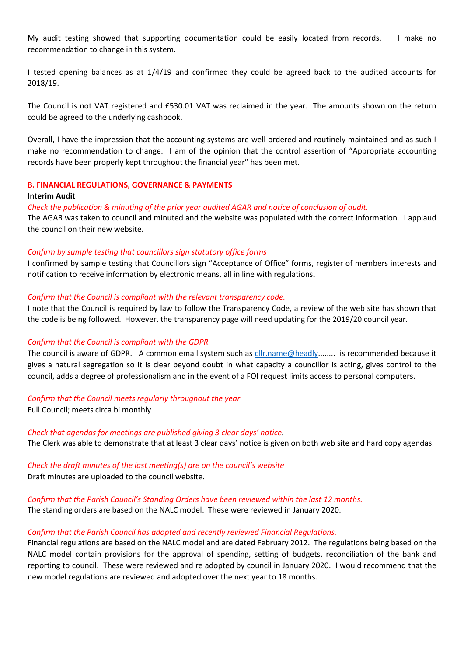My audit testing showed that supporting documentation could be easily located from records. I make no recommendation to change in this system.

I tested opening balances as at 1/4/19 and confirmed they could be agreed back to the audited accounts for 2018/19.

The Council is not VAT registered and £530.01 VAT was reclaimed in the year. The amounts shown on the return could be agreed to the underlying cashbook.

Overall, I have the impression that the accounting systems are well ordered and routinely maintained and as such I make no recommendation to change. I am of the opinion that the control assertion of "Appropriate accounting records have been properly kept throughout the financial year" has been met.

### **B. FINANCIAL REGULATIONS, GOVERNANCE & PAYMENTS**

### **Interim Audit**

*Check the publication & minuting of the prior year audited AGAR and notice of conclusion of audit.*

The AGAR was taken to council and minuted and the website was populated with the correct information. I applaud the council on their new website.

## *Confirm by sample testing that councillors sign statutory office forms*

I confirmed by sample testing that Councillors sign "Acceptance of Office" forms, register of members interests and notification to receive information by electronic means, all in line with regulations**.** 

## *Confirm that the Council is compliant with the relevant transparency code.*

I note that the Council is required by law to follow the Transparency Code, a review of the web site has shown that the code is being followed. However, the transparency page will need updating for the 2019/20 council year.

# *Confirm that the Council is compliant with the GDPR.*

The council is aware of GDPR. A common email system such as [cllr.name@h](mailto:cllr.name@)eadly........ is recommended because it gives a natural segregation so it is clear beyond doubt in what capacity a councillor is acting, gives control to the council, adds a degree of professionalism and in the event of a FOI request limits access to personal computers.

### *Confirm that the Council meets regularly throughout the year*

Full Council; meets circa bi monthly

*Check that agendas for meetings are published giving 3 clear days' notice.* The Clerk was able to demonstrate that at least 3 clear days' notice is given on both web site and hard copy agendas.

# *Check the draft minutes of the last meeting(s) are on the council's website*  Draft minutes are uploaded to the council website.

# *Confirm that the Parish Council's Standing Orders have been reviewed within the last 12 months.* The standing orders are based on the NALC model. These were reviewed in January 2020.

# *Confirm that the Parish Council has adopted and recently reviewed Financial Regulations.*

Financial regulations are based on the NALC model and are dated February 2012. The regulations being based on the NALC model contain provisions for the approval of spending, setting of budgets, reconciliation of the bank and reporting to council. These were reviewed and re adopted by council in January 2020. I would recommend that the new model regulations are reviewed and adopted over the next year to 18 months.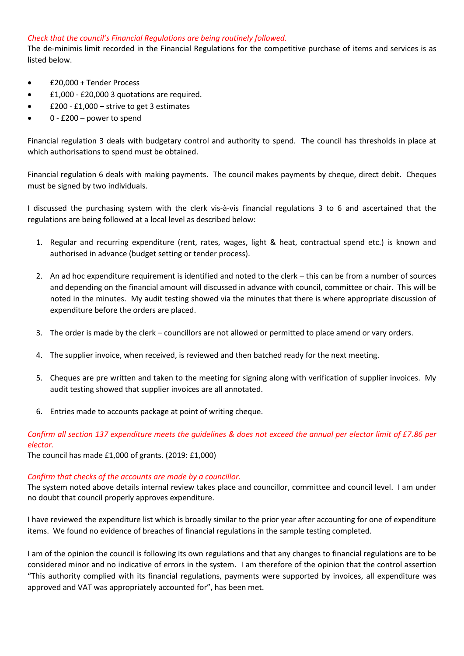# *Check that the council's Financial Regulations are being routinely followed.*

The de-minimis limit recorded in the Financial Regulations for the competitive purchase of items and services is as listed below.

- £20,000 + Tender Process
- £1,000 £20,000 3 quotations are required.
- £200 £1,000 strive to get 3 estimates
- 0 £200 power to spend

Financial regulation 3 deals with budgetary control and authority to spend. The council has thresholds in place at which authorisations to spend must be obtained.

Financial regulation 6 deals with making payments. The council makes payments by cheque, direct debit. Cheques must be signed by two individuals.

I discussed the purchasing system with the clerk vis-à-vis financial regulations 3 to 6 and ascertained that the regulations are being followed at a local level as described below:

- 1. Regular and recurring expenditure (rent, rates, wages, light & heat, contractual spend etc.) is known and authorised in advance (budget setting or tender process).
- 2. An ad hoc expenditure requirement is identified and noted to the clerk this can be from a number of sources and depending on the financial amount will discussed in advance with council, committee or chair. This will be noted in the minutes. My audit testing showed via the minutes that there is where appropriate discussion of expenditure before the orders are placed.
- 3. The order is made by the clerk councillors are not allowed or permitted to place amend or vary orders.
- 4. The supplier invoice, when received, is reviewed and then batched ready for the next meeting.
- 5. Cheques are pre written and taken to the meeting for signing along with verification of supplier invoices. My audit testing showed that supplier invoices are all annotated.
- 6. Entries made to accounts package at point of writing cheque.

# *Confirm all section 137 expenditure meets the guidelines & does not exceed the annual per elector limit of £7.86 per elector.*

The council has made £1,000 of grants. (2019: £1,000)

# *Confirm that checks of the accounts are made by a councillor.*

The system noted above details internal review takes place and councillor, committee and council level. I am under no doubt that council properly approves expenditure.

I have reviewed the expenditure list which is broadly similar to the prior year after accounting for one of expenditure items. We found no evidence of breaches of financial regulations in the sample testing completed.

I am of the opinion the council is following its own regulations and that any changes to financial regulations are to be considered minor and no indicative of errors in the system. I am therefore of the opinion that the control assertion "This authority complied with its financial regulations, payments were supported by invoices, all expenditure was approved and VAT was appropriately accounted for", has been met.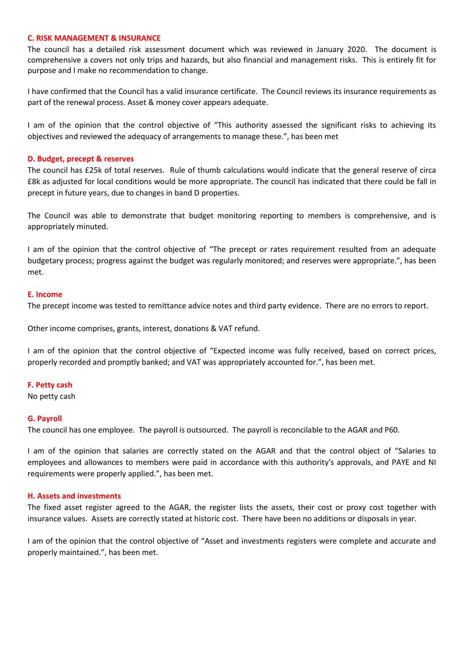## **C. RISK MANAGEMENT & INSURANCE**

The council has a detailed risk assessment document which was reviewed in January 2020. The document is comprehensive a covers not only trips and hazards, but also financial and management risks. This is entirely fit for purpose and I make no recommendation to change.

I have confirmed that the Council has a valid insurance certificate. The Council reviews its insurance requirements as part of the renewal process. Asset & money cover appears adequate.

I am of the opinion that the control objective of "This authority assessed the significant risks to achieving its objectives and reviewed the adequacy of arrangements to manage these.", has been met

## **D. Budget, precept & reserves**

The council has £25k of total reserves. Rule of thumb calculations would indicate that the general reserve of circa £8k as adjusted for local conditions would be more appropriate. The council has indicated that there could be fall in precept in future years, due to changes in band D properties.

The Council was able to demonstrate that budget monitoring reporting to members is comprehensive, and is appropriately minuted.

I am of the opinion that the control objective of "The precept or rates requirement resulted from an adequate budgetary process; progress against the budget was regularly monitored; and reserves were appropriate.", has been met.

### **E. Income**

The precept income was tested to remittance advice notes and third party evidence. There are no errors to report.

Other income comprises, grants, interest, donations & VAT refund.

I am of the opinion that the control objective of "Expected income was fully received, based on correct prices, properly recorded and promptly banked; and VAT was appropriately accounted for.", has been met.

### **F. Petty cash**

No petty cash

### **G. Payroll**

The council has one employee. The payroll is outsourced. The payroll is reconcilable to the AGAR and P60.

I am of the opinion that salaries are correctly stated on the AGAR and that the control object of "Salaries to employees and allowances to members were paid in accordance with this authority's approvals, and PAYE and NI requirements were properly applied.", has been met.

### **H. Assets and investments**

The fixed asset register agreed to the AGAR, the register lists the assets, their cost or proxy cost together with insurance values. Assets are correctly stated at historic cost. There have been no additions or disposals in year.

I am of the opinion that the control objective of "Asset and investments registers were complete and accurate and properly maintained.", has been met.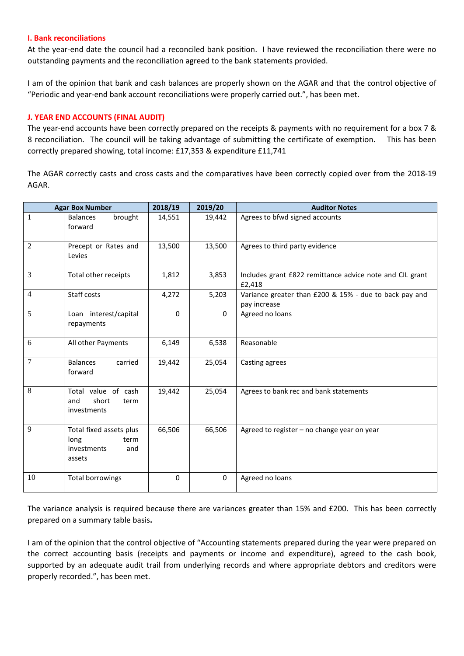## **I. Bank reconciliations**

At the year-end date the council had a reconciled bank position. I have reviewed the reconciliation there were no outstanding payments and the reconciliation agreed to the bank statements provided.

I am of the opinion that bank and cash balances are properly shown on the AGAR and that the control objective of "Periodic and year-end bank account reconciliations were properly carried out.", has been met.

## **J. YEAR END ACCOUNTS (FINAL AUDIT)**

The year-end accounts have been correctly prepared on the receipts & payments with no requirement for a box 7 & 8 reconciliation. The council will be taking advantage of submitting the certificate of exemption. This has been correctly prepared showing, total income: £17,353 & expenditure £11,741

The AGAR correctly casts and cross casts and the comparatives have been correctly copied over from the 2018-19 AGAR.

| <b>Agar Box Number</b> |                                                                         | 2018/19     | 2019/20     | <b>Auditor Notes</b>                                                   |  |
|------------------------|-------------------------------------------------------------------------|-------------|-------------|------------------------------------------------------------------------|--|
| $\overline{1}$         | brought<br><b>Balances</b><br>forward                                   | 14,551      | 19,442      | Agrees to bfwd signed accounts                                         |  |
| $\overline{2}$         | Precept or Rates and<br>Levies                                          | 13,500      | 13,500      | Agrees to third party evidence                                         |  |
| 3                      | Total other receipts                                                    | 1,812       | 3,853       | Includes grant £822 remittance advice note and CIL grant<br>£2,418     |  |
| $\overline{4}$         | Staff costs                                                             | 4,272       | 5,203       | Variance greater than £200 & 15% - due to back pay and<br>pay increase |  |
| $\overline{5}$         | Loan interest/capital<br>repayments                                     | $\Omega$    | 0           | Agreed no loans                                                        |  |
| 6                      | All other Payments                                                      | 6,149       | 6,538       | Reasonable                                                             |  |
| $\overline{7}$         | <b>Balances</b><br>carried<br>forward                                   | 19,442      | 25,054      | Casting agrees                                                         |  |
| 8                      | Total value of cash<br>short<br>and<br>term<br>investments              | 19,442      | 25,054      | Agrees to bank rec and bank statements                                 |  |
| 9                      | Total fixed assets plus<br>long<br>term<br>investments<br>and<br>assets | 66,506      | 66,506      | Agreed to register - no change year on year                            |  |
| 10                     | <b>Total borrowings</b>                                                 | $\mathbf 0$ | $\mathbf 0$ | Agreed no loans                                                        |  |

The variance analysis is required because there are variances greater than 15% and £200. This has been correctly prepared on a summary table basis**.**

I am of the opinion that the control objective of "Accounting statements prepared during the year were prepared on the correct accounting basis (receipts and payments or income and expenditure), agreed to the cash book, supported by an adequate audit trail from underlying records and where appropriate debtors and creditors were properly recorded.", has been met.